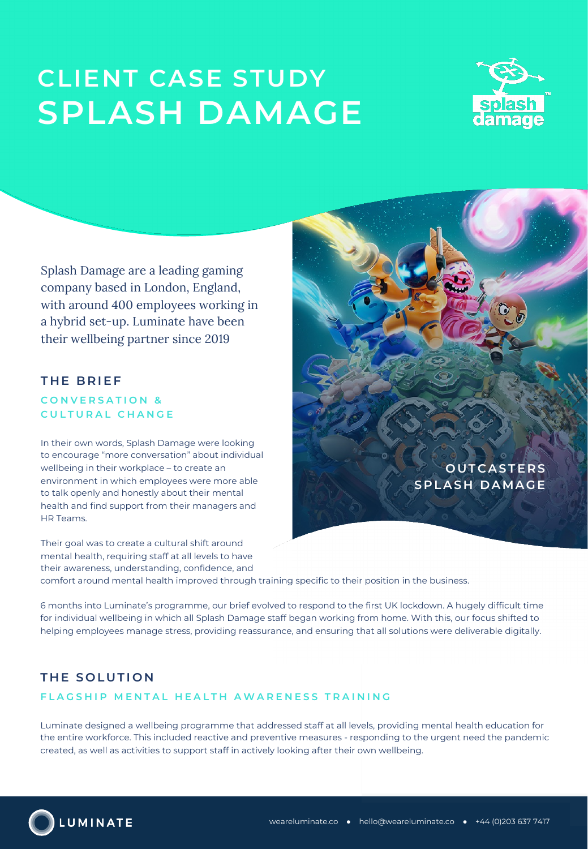# **CLIENT CASE STUDY SPLASH DAMAGE**



Splash Damage are a leading gaming company based in London, England, with around 400 employees working in a hybrid set-up. Luminate have been their wellbeing partner since 2019.

## **THE BRIEF**

## **CONVERSATION & CULTURAL CHANGE**

In their own words, Splash Damage were looking to encourage "more conversation" about individual wellbeing in their workplace – to create an environment in which employees were more able to talk openly and honestly about their mental health and find support from their managers and HR Teams.

Their goal was to create a cultural shift around mental health, requiring staff at all levels to have their awareness, understanding, confidence, and

**OUTCASTERS SPLASH DAMAGE**

comfort around mental health improved through training specific to their position in the business.

6 months into Luminate's programme, our brief evolved to respond to the first UK lockdown. A hugely difficult time for individual wellbeing in which all Splash Damage staff began working from home. With this, our focus shifted to helping employees manage stress, providing reassurance, and ensuring that all solutions were deliverable digitally.

## **THE SOLUTION**

## **FLAGSHIP MENTAL HEALTH AWARENESS TRAINING**

Luminate designed a wellbeing programme that addressed staff at all levels, providing mental health education for the entire workforce. This included reactive and preventive measures - responding to the urgent need the pandemic created, as well as activities to support staff in actively looking after their own wellbeing.

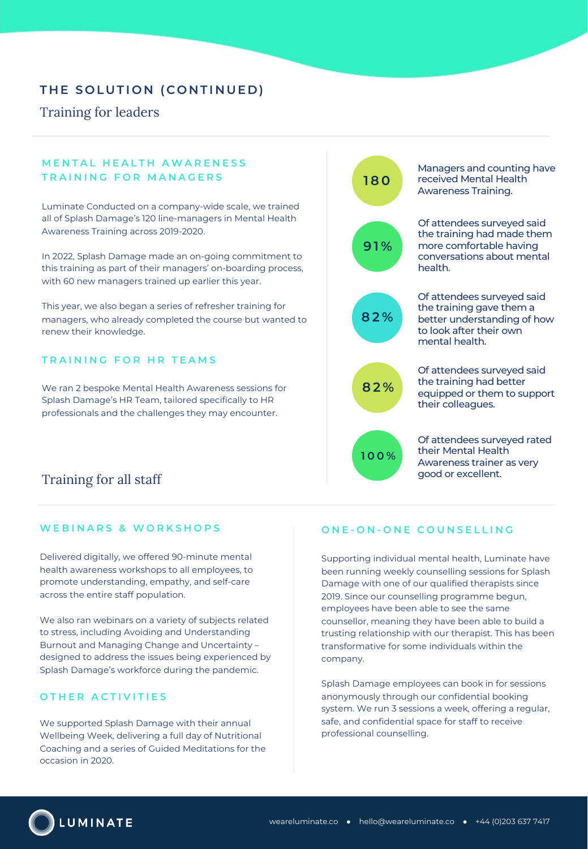# **THE SOLUTION (CONTINUED)**

## Training for leaders

## **MENTAL HEALTH AWARENESS TRAINING FOR MANAGERS**

Luminate Conducted on a company-wide scale, we trained all of Splash Damage's 120 line-managers in Mental Health Awareness Training across 2019-2020.

In 2022, Splash Damage made an on-going commitment to this training as part of their managers' on-boarding process, with 60 new managers trained up earlier this year.

This year, we also began a series of refresher training for managers, who already completed the course but wanted to renew their knowledge.

#### **TRAINING FOR HR TEAMS**

We ran 2 bespoke Mental Health Awareness sessions for Splash Damage's HR Team, tailored specifically to HR professionals and the challenges they may encounter.

## Training for all staff

### **WEBINARS & WORKSHOPS**

Delivered digitally, we offered 90-minute mental health awareness workshops to all employees, to promote understanding, empathy, and self-care across the entire staff population.

We also ran webinars on a variety of subjects related to stress, including Avoiding and Understanding Burnout and Managing Change and Uncertainty – designed to address the issues being experienced by Splash Damage's workforce during the pandemic.

#### **OTHER ACTIVITIES**

We supported Splash Damage with their annual Wellbeing Week, delivering a full day of Nutritional Coaching and a series of Guided Meditations for the occasion in 2020.

# **180**

Managers and counting have received Mental Health Awareness Training.



Of attendees surveyed said the training had made them more comfortable having conversations about mental health.



Of attendees surveyed said the training gave them a better understanding of how to look after their own mental health.



Of attendees surveyed said the training had better equipped or them to support their colleagues.



Of attendees surveyed rated their Mental Health Awareness trainer as very good or excellent.

#### **ONE - O N - ONE COUNSELLING**

Supporting individual mental health, Luminate have been running weekly counselling sessions for Splash Damage with one of our qualified therapists since 2019. Since our counselling programme begun, employees have been able to see the same counsellor, meaning they have been able to build a trusting relationship with our therapist. This has been transformative for some individuals within the company.

Splash Damage employees can book in for sessions anonymously through our confidential booking system. We run 3 sessions a week, offering a regular, safe, and confidential space for staff to receive professional counselling.